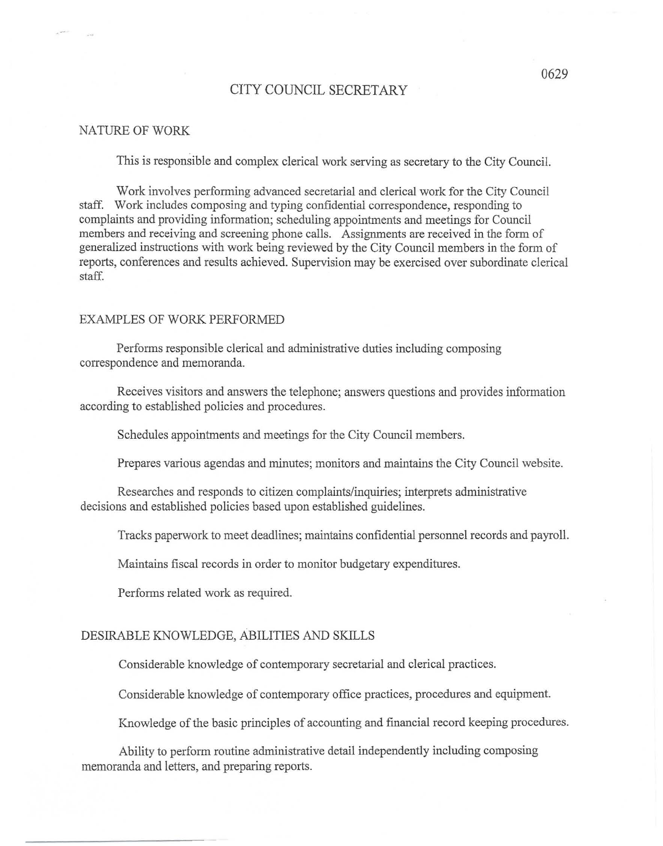## CITY COUNCIL SECRETARY

#### NATURE OF WORK

This is responsible and complex clerical work serving as secretary to the City Council.

Work involves performing advanced secretarial and clerical work for the City Council staff. Work includes composing and typing confidential correspondence, responding to complaints and providing information; scheduling appointments and meetings for Council members and receiving and screening phone calls. Assignments are received in the form of generalized instructions with work being reviewed by the City Council members in the form of reports, conferences and results achieved. Supervision may be exercised over subordinate clerical staff.

#### EXAMPLES OF WORK PERFORMED

Performs responsible clerical and administrative duties including composing correspondence and memoranda.

Receives visitors and answers the telephone; answers questions and provides information according to established policies and procedures.

Schedules appointments and meetings for the City Council members.

Prepares various agendas and minutes; monitors and maintains the City Council website.

Researches and responds to citizen complaints/inquiries; interprets administrative decisions and established policies based upon established guidelines.

Tracks paperwork to meet deadlines; maintains confidential personnel records and payroll.

Maintains fiscal records in order to monitor budgetary expenditures.

Performs related work as required.

## DESIRABLE KNOWLEDGE, ABILITIES AND SKILLS

Considerable knowledge of contemporary secretarial and clerical practices.

Considerable knowledge of contemporary office practices, procedures and equipment.

Knowledge of the basic principles of accounting and financial record keeping procedures.

Ability to perform routine administrative detail independently including composing memoranda and letters, and preparing reports.